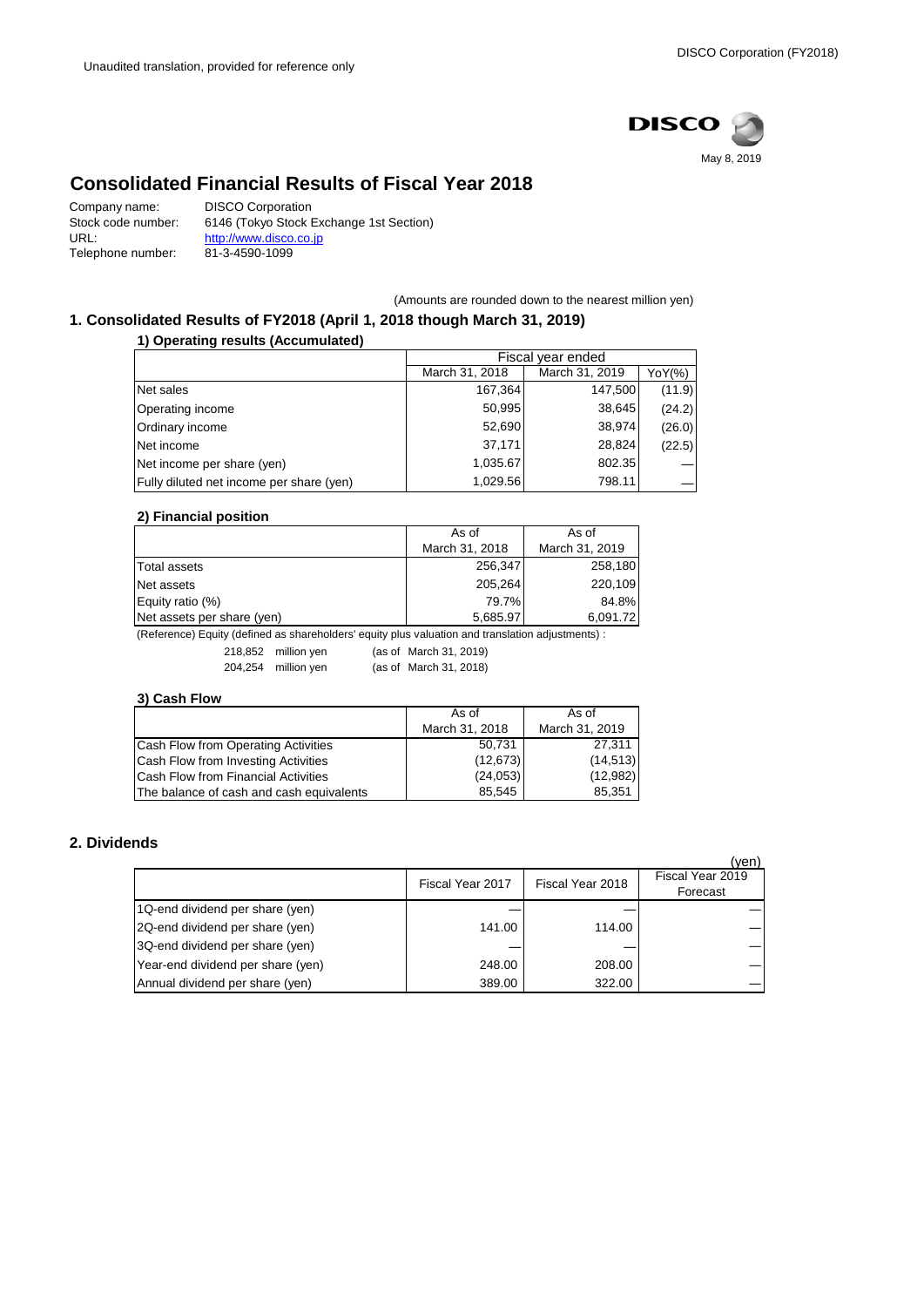

# **Consolidated Financial Results of Fiscal Year 2018**

| Company name:      | <b>DISCO Corporation</b>                |
|--------------------|-----------------------------------------|
| Stock code number: | 6146 (Tokyo Stock Exchange 1st Section) |
| URL:               | http://www.disco.co.jp                  |
| Telephone number:  | 81-3-4590-1099                          |

(Amounts are rounded down to the nearest million yen)

## **1. Consolidated Results of FY2018 (April 1, 2018 though March 31, 2019)**

**1) Operating results (Accumulated)**

|                                          | Fiscal vear ended |                |        |
|------------------------------------------|-------------------|----------------|--------|
|                                          | March 31, 2018    | March 31, 2019 | YoY(%) |
| Net sales                                | 167,364           | 147,500        | (11.9) |
| Operating income                         | 50,995            | 38,645         | (24.2) |
| Ordinary income                          | 52,690            | 38,974         | (26.0) |
| Net income                               | 37,171            | 28,824         | (22.5) |
| Net income per share (yen)               | 1,035.67          | 802.35         |        |
| Fully diluted net income per share (yen) | 1,029.56          | 798.11         |        |

#### **2) Financial position**

|                            | As of          | As of          |  |
|----------------------------|----------------|----------------|--|
|                            | March 31, 2018 | March 31, 2019 |  |
| Total assets               | 256,347        | 258,180        |  |
| Net assets                 | 205,264        | 220.109        |  |
| Equity ratio (%)           | 79.7%          | 84.8%          |  |
| Net assets per share (yen) | 5,685.97       | 6,091.72       |  |

(Reference) Equity (defined as shareholders' equity plus valuation and translation adjustments) :

218,852 million yen (as of March 31, 2019) 204,254 million yen (as of March 31, 2018)

#### **3) Cash Flow**

|                                            | As of          | As of          |
|--------------------------------------------|----------------|----------------|
|                                            | March 31, 2018 | March 31, 2019 |
| Cash Flow from Operating Activities        | 50.731         | 27.311         |
| Cash Flow from Investing Activities        | (12, 673)      | (14, 513)      |
| <b>Cash Flow from Financial Activities</b> | (24, 053)      | (12,982)       |
| The balance of cash and cash equivalents   | 85.545         | 85.351         |

## **2. Dividends**

|                                   |                  |                  | (yen)                        |
|-----------------------------------|------------------|------------------|------------------------------|
|                                   | Fiscal Year 2017 | Fiscal Year 2018 | Fiscal Year 2019<br>Forecast |
| 1Q-end dividend per share (yen)   |                  |                  |                              |
| 2Q-end dividend per share (yen)   | 141.00           | 114.00           |                              |
| 3Q-end dividend per share (yen)   |                  |                  |                              |
| Year-end dividend per share (yen) | 248.00           | 208.00           |                              |
| Annual dividend per share (yen)   | 389.00           | 322.00           |                              |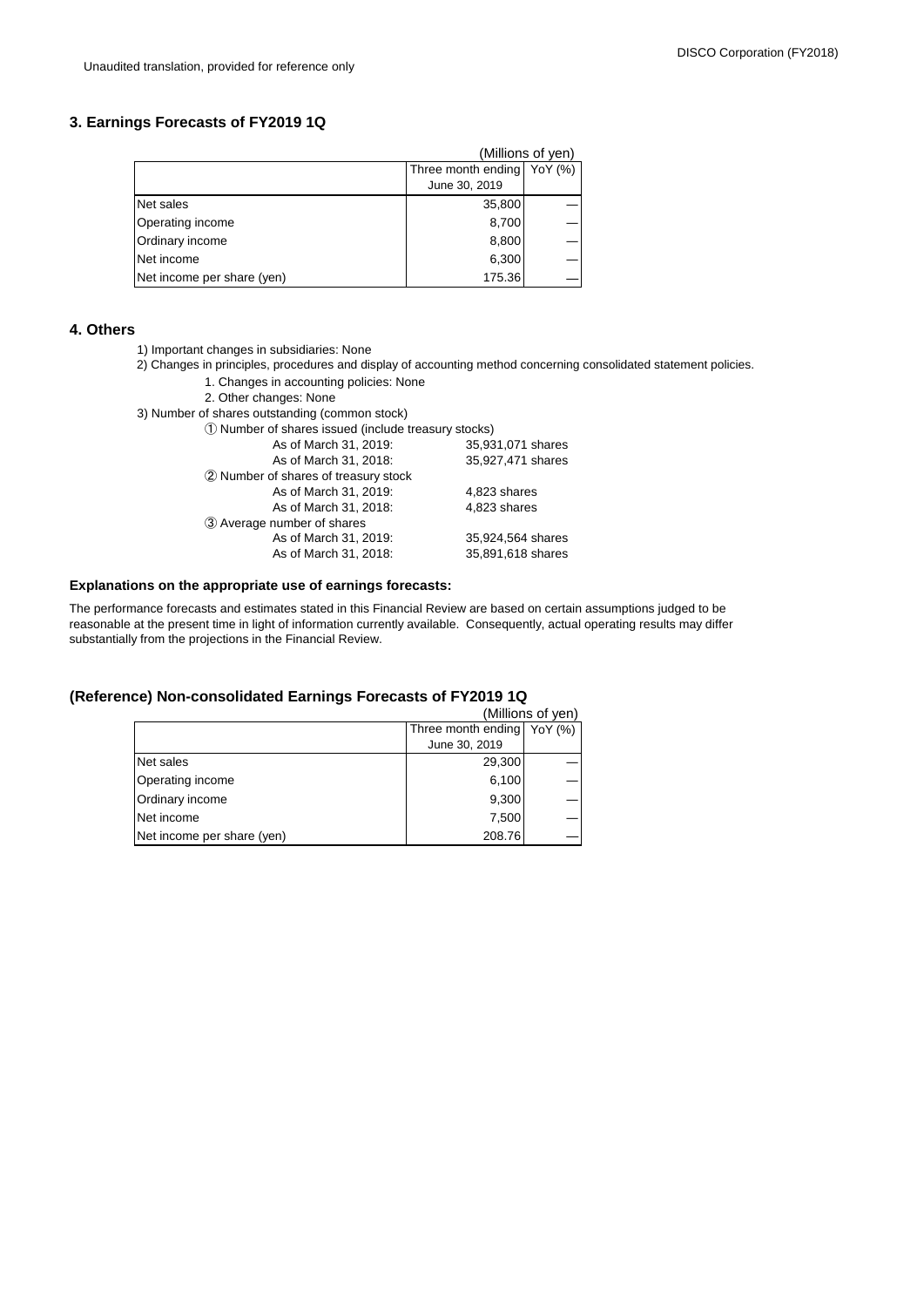### **3. Earnings Forecasts of FY2019 1Q**

|                            |                            | (Millions of yen) |
|----------------------------|----------------------------|-------------------|
|                            | Three month ending YoY (%) |                   |
|                            | June 30, 2019              |                   |
| Net sales                  | 35,800                     |                   |
| Operating income           | 8,700                      |                   |
| Ordinary income            | 8,800                      |                   |
| Net income                 | 6,300                      |                   |
| Net income per share (yen) | 175.36                     |                   |

#### **4. Others**

- 1) Important changes in subsidiaries: None
- 2) Changes in principles, procedures and display of accounting method concerning consolidated statement policies.
	- 1. Changes in accounting policies: None
	- 2. Other changes: None
- 3) Number of shares outstanding (common stock)

① Number of shares issued (include treasury stocks)

| www.componentation.com/composition.com/composition/ |                   |  |  |
|-----------------------------------------------------|-------------------|--|--|
| As of March 31, 2019:                               | 35,931,071 shares |  |  |
| As of March 31, 2018:                               | 35,927,471 shares |  |  |
| 2 Number of shares of treasury stock                |                   |  |  |
| As of March 31, 2019:                               | 4,823 shares      |  |  |
| As of March 31, 2018:                               | 4,823 shares      |  |  |
| 3 Average number of shares                          |                   |  |  |
| As of March 31, 2019:                               | 35.924.564 shares |  |  |
| As of March 31, 2018:                               | 35,891,618 shares |  |  |
|                                                     |                   |  |  |

#### **Explanations on the appropriate use of earnings forecasts:**

The performance forecasts and estimates stated in this Financial Review are based on certain assumptions judged to be reasonable at the present time in light of information currently available. Consequently, actual operating results may differ substantially from the projections in the Financial Review.

#### **(Reference) Non-consolidated Earnings Forecasts of FY2019 1Q**

|                            | (Millions of yen)            |
|----------------------------|------------------------------|
|                            | Three month ending   YoY (%) |
|                            | June 30, 2019                |
| Net sales                  | 29,300                       |
| Operating income           | 6,100                        |
| Ordinary income            | 9,300                        |
| Net income                 | 7,500                        |
| Net income per share (yen) | 208.76                       |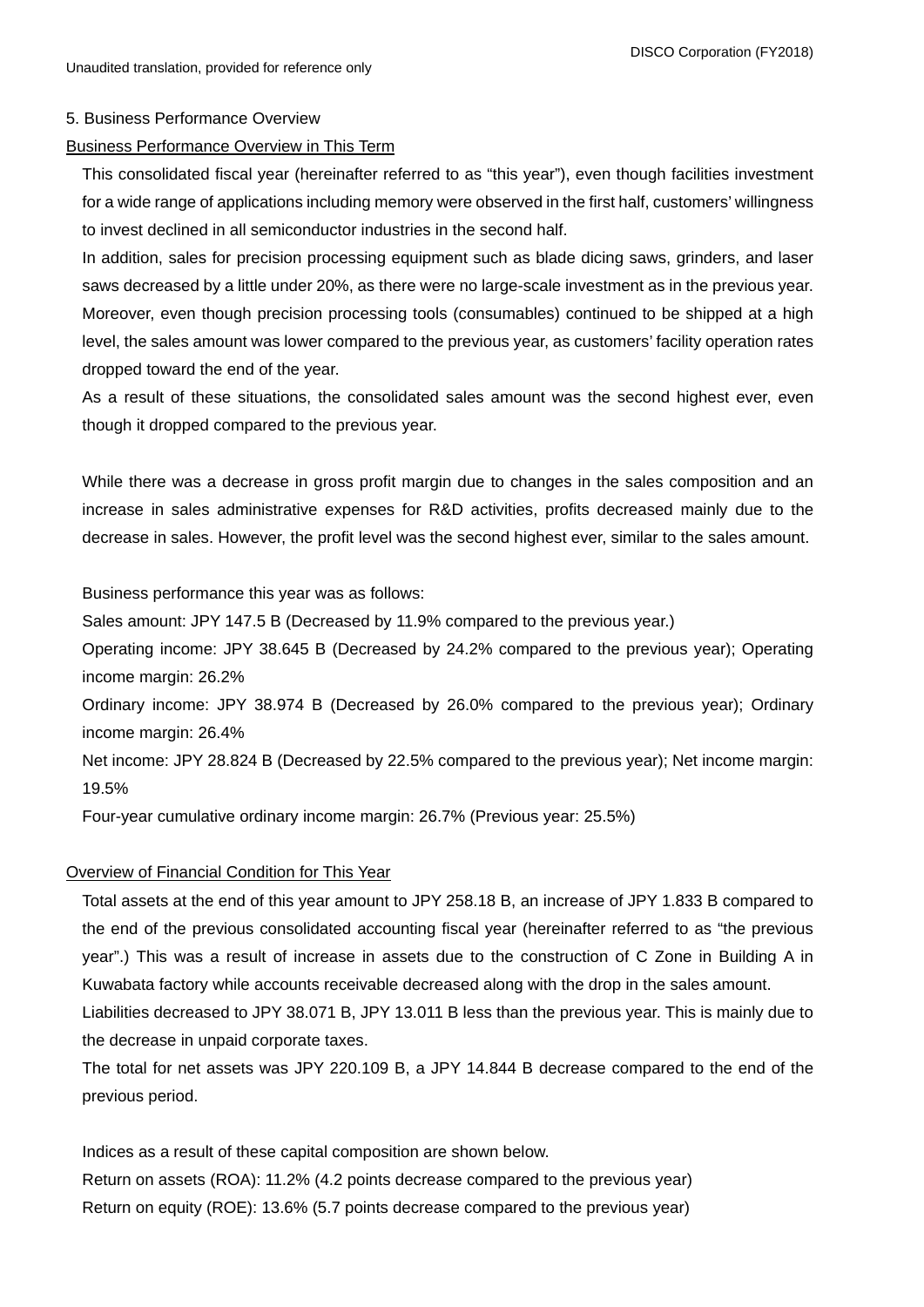### 5. Business Performance Overview

### Business Performance Overview in This Term

This consolidated fiscal year (hereinafter referred to as "this year"), even though facilities investment for a wide range of applications including memory were observed in the first half, customers' willingness to invest declined in all semiconductor industries in the second half.

In addition, sales for precision processing equipment such as blade dicing saws, grinders, and laser saws decreased by a little under 20%, as there were no large-scale investment as in the previous year. Moreover, even though precision processing tools (consumables) continued to be shipped at a high level, the sales amount was lower compared to the previous year, as customers' facility operation rates dropped toward the end of the year.

As a result of these situations, the consolidated sales amount was the second highest ever, even though it dropped compared to the previous year.

While there was a decrease in gross profit margin due to changes in the sales composition and an increase in sales administrative expenses for R&D activities, profits decreased mainly due to the decrease in sales. However, the profit level was the second highest ever, similar to the sales amount.

Business performance this year was as follows:

Sales amount: JPY 147.5 B (Decreased by 11.9% compared to the previous year.)

Operating income: JPY 38.645 B (Decreased by 24.2% compared to the previous year); Operating income margin: 26.2%

Ordinary income: JPY 38.974 B (Decreased by 26.0% compared to the previous year); Ordinary income margin: 26.4%

Net income: JPY 28.824 B (Decreased by 22.5% compared to the previous year); Net income margin: 19.5%

Four-year cumulative ordinary income margin: 26.7% (Previous year: 25.5%)

## Overview of Financial Condition for This Year

Total assets at the end of this year amount to JPY 258.18 B, an increase of JPY 1.833 B compared to the end of the previous consolidated accounting fiscal year (hereinafter referred to as "the previous year".) This was a result of increase in assets due to the construction of C Zone in Building A in Kuwabata factory while accounts receivable decreased along with the drop in the sales amount. Liabilities decreased to JPY 38.071 B, JPY 13.011 B less than the previous year. This is mainly due to

the decrease in unpaid corporate taxes.

The total for net assets was JPY 220.109 B, a JPY 14.844 B decrease compared to the end of the previous period.

Indices as a result of these capital composition are shown below.

Return on assets (ROA): 11.2% (4.2 points decrease compared to the previous year) Return on equity (ROE): 13.6% (5.7 points decrease compared to the previous year)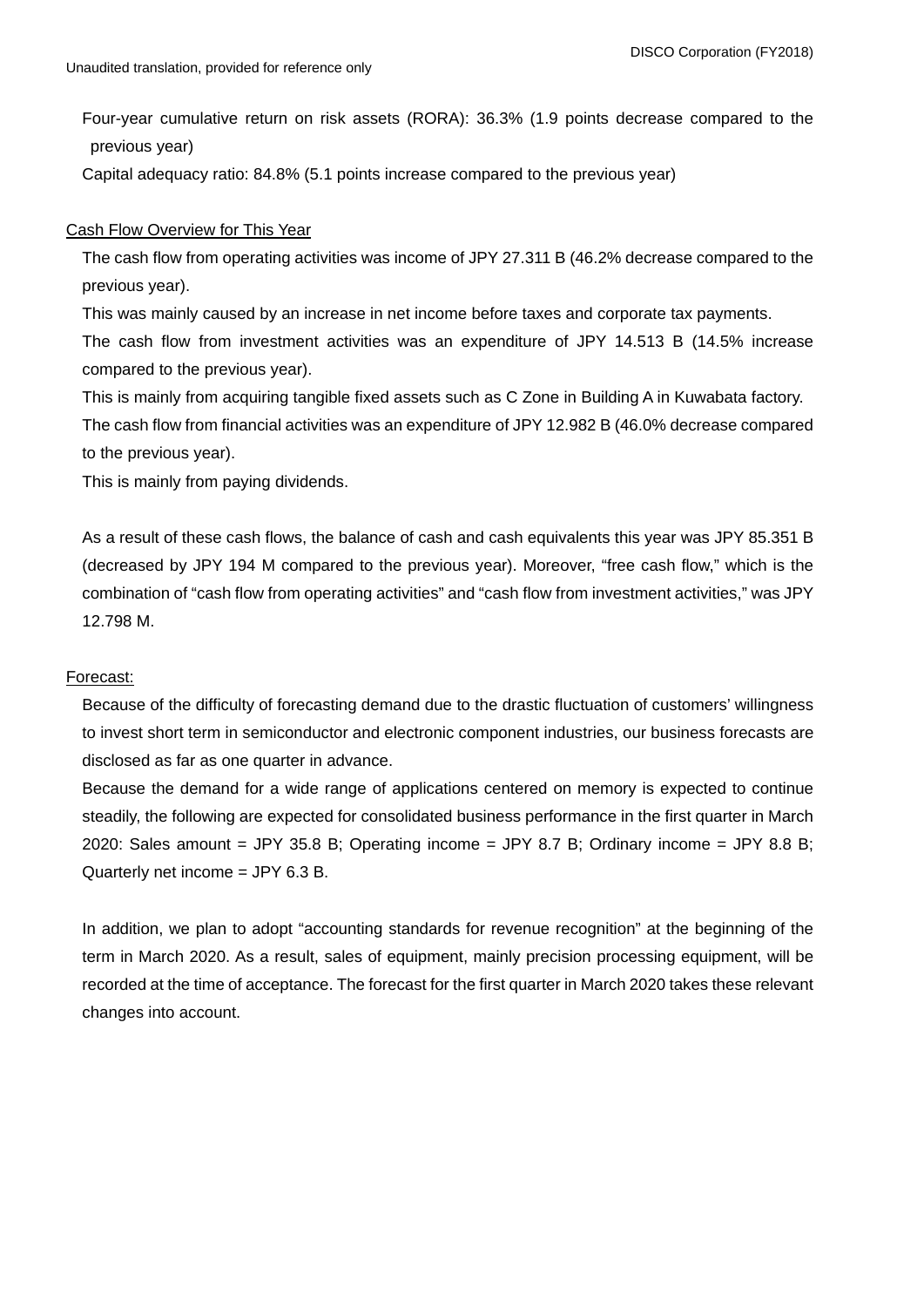Four-year cumulative return on risk assets (RORA): 36.3% (1.9 points decrease compared to the previous year)

Capital adequacy ratio: 84.8% (5.1 points increase compared to the previous year)

### Cash Flow Overview for This Year

The cash flow from operating activities was income of JPY 27.311 B (46.2% decrease compared to the previous year).

This was mainly caused by an increase in net income before taxes and corporate tax payments. The cash flow from investment activities was an expenditure of JPY 14.513 B (14.5% increase compared to the previous year).

This is mainly from acquiring tangible fixed assets such as C Zone in Building A in Kuwabata factory. The cash flow from financial activities was an expenditure of JPY 12.982 B (46.0% decrease compared to the previous year).

This is mainly from paying dividends.

As a result of these cash flows, the balance of cash and cash equivalents this year was JPY 85.351 B (decreased by JPY 194 M compared to the previous year). Moreover, "free cash flow," which is the combination of "cash flow from operating activities" and "cash flow from investment activities," was JPY 12.798 M.

## Forecast:

Because of the difficulty of forecasting demand due to the drastic fluctuation of customers' willingness to invest short term in semiconductor and electronic component industries, our business forecasts are disclosed as far as one quarter in advance.

Because the demand for a wide range of applications centered on memory is expected to continue steadily, the following are expected for consolidated business performance in the first quarter in March 2020: Sales amount = JPY 35.8 B; Operating income = JPY 8.7 B; Ordinary income = JPY 8.8 B; Quarterly net income = JPY 6.3 B.

In addition, we plan to adopt "accounting standards for revenue recognition" at the beginning of the term in March 2020. As a result, sales of equipment, mainly precision processing equipment, will be recorded at the time of acceptance. The forecast for the first quarter in March 2020 takes these relevant changes into account.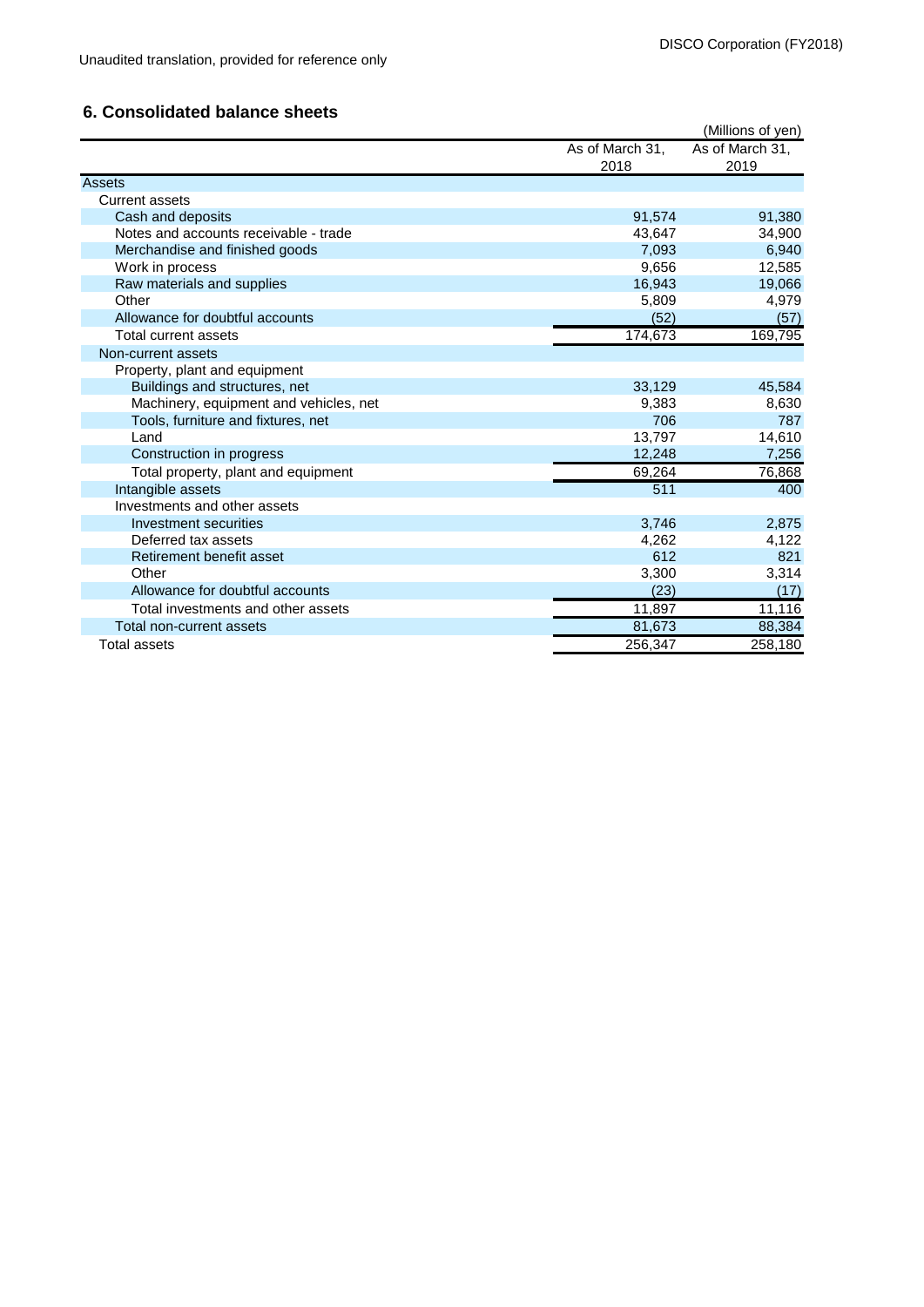## **6. Consolidated balance sheets**

|                                        |                 | (Millions of yen) |
|----------------------------------------|-----------------|-------------------|
|                                        | As of March 31, | As of March 31,   |
|                                        | 2018            | 2019              |
| <b>Assets</b>                          |                 |                   |
| <b>Current assets</b>                  |                 |                   |
| Cash and deposits                      | 91,574          | 91,380            |
| Notes and accounts receivable - trade  | 43,647          | 34,900            |
| Merchandise and finished goods         | 7.093           | 6,940             |
| Work in process                        | 9,656           | 12,585            |
| Raw materials and supplies             | 16,943          | 19,066            |
| Other                                  | 5,809           | 4,979             |
| Allowance for doubtful accounts        | (52)            | (57)              |
| Total current assets                   | 174,673         | 169,795           |
| Non-current assets                     |                 |                   |
| Property, plant and equipment          |                 |                   |
| Buildings and structures, net          | 33,129          | 45,584            |
| Machinery, equipment and vehicles, net | 9,383           | 8,630             |
| Tools, furniture and fixtures, net     | 706             | 787               |
| Land                                   | 13,797          | 14,610            |
| Construction in progress               | 12,248          | 7,256             |
| Total property, plant and equipment    | 69,264          | 76,868            |
| Intangible assets                      | 511             | 400               |
| Investments and other assets           |                 |                   |
| Investment securities                  | 3,746           | 2,875             |
| Deferred tax assets                    | 4,262           | 4,122             |
| Retirement benefit asset               | 612             | 821               |
| Other                                  | 3,300           | 3,314             |
| Allowance for doubtful accounts        | (23)            | (17)              |
| Total investments and other assets     | 11,897          | 11,116            |
| Total non-current assets               | 81,673          | 88,384            |
| <b>Total assets</b>                    | 256,347         | 258,180           |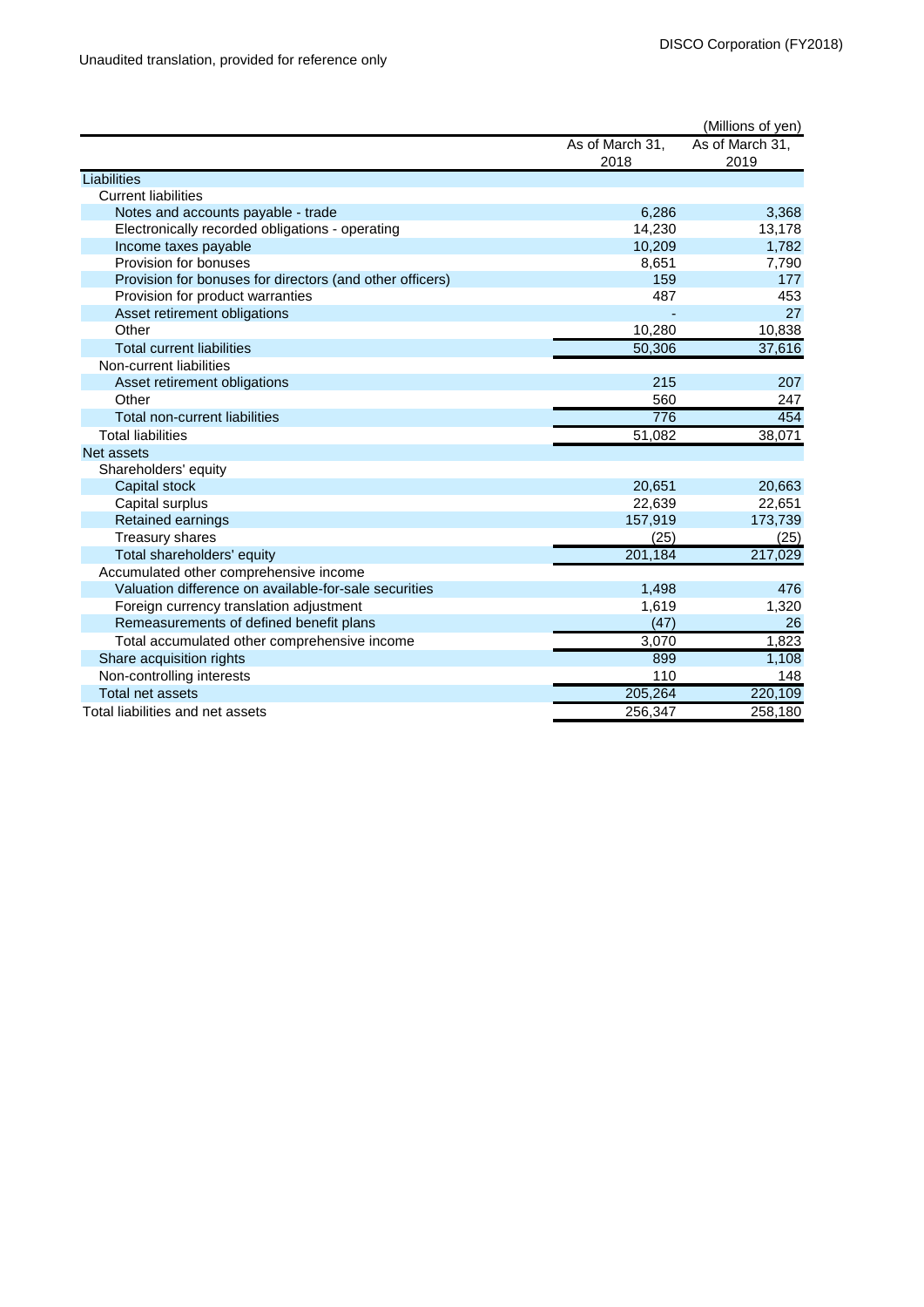|                                                          |         | (Millions of yen) |
|----------------------------------------------------------|---------|-------------------|
| As of March 31,                                          |         | As of March 31,   |
| 2018                                                     |         | 2019              |
| Liabilities                                              |         |                   |
| <b>Current liabilities</b>                               |         |                   |
| Notes and accounts payable - trade                       | 6,286   | 3,368             |
| Electronically recorded obligations - operating          | 14,230  | 13,178            |
| Income taxes payable                                     | 10,209  | 1,782             |
| Provision for bonuses                                    | 8,651   | 7,790             |
| Provision for bonuses for directors (and other officers) | 159     | 177               |
| Provision for product warranties                         | 487     | 453               |
| Asset retirement obligations                             |         | 27                |
| Other                                                    | 10,280  | 10,838            |
| <b>Total current liabilities</b>                         | 50,306  | 37,616            |
| Non-current liabilities                                  |         |                   |
| Asset retirement obligations                             | 215     | 207               |
| Other                                                    | 560     | 247               |
| Total non-current liabilities                            | 776     | 454               |
| <b>Total liabilities</b>                                 | 51,082  | 38,071            |
| Net assets                                               |         |                   |
| Shareholders' equity                                     |         |                   |
| Capital stock                                            | 20,651  | 20,663            |
| Capital surplus                                          | 22,639  | 22,651            |
| Retained earnings                                        | 157,919 | 173,739           |
| <b>Treasury shares</b>                                   | (25)    | (25)              |
| Total shareholders' equity                               | 201,184 | 217,029           |
| Accumulated other comprehensive income                   |         |                   |
| Valuation difference on available-for-sale securities    | 1,498   | 476               |
| Foreign currency translation adjustment                  | 1,619   | 1,320             |
| Remeasurements of defined benefit plans                  | (47)    | 26                |
| Total accumulated other comprehensive income             | 3,070   | 1,823             |
| Share acquisition rights                                 | 899     | 1,108             |
| Non-controlling interests                                | 110     | 148               |
| Total net assets                                         | 205,264 | 220,109           |
| Total liabilities and net assets                         | 256.347 | 258.180           |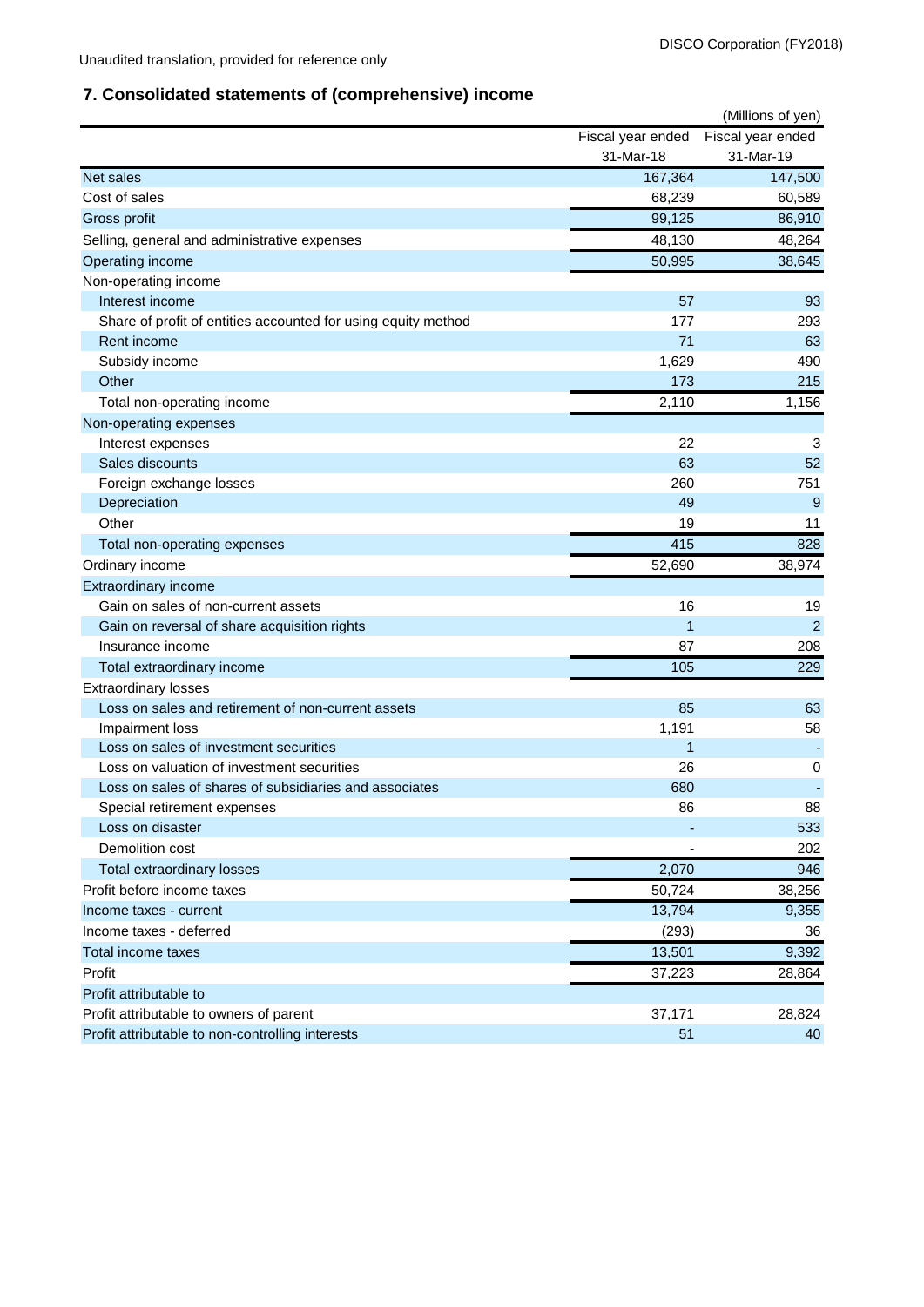# **7. Consolidated statements of (comprehensive) income**

|                                                               |                   | (Millions of yen) |
|---------------------------------------------------------------|-------------------|-------------------|
|                                                               | Fiscal year ended | Fiscal year ended |
|                                                               | 31-Mar-18         | 31-Mar-19         |
| Net sales                                                     | 167,364           | 147,500           |
| Cost of sales                                                 | 68,239            | 60,589            |
| Gross profit                                                  | 99,125            | 86,910            |
| Selling, general and administrative expenses                  | 48,130            | 48,264            |
| Operating income                                              | 50,995            | 38,645            |
| Non-operating income                                          |                   |                   |
| Interest income                                               | 57                | 93                |
| Share of profit of entities accounted for using equity method | 177               | 293               |
| Rent income                                                   | 71                | 63                |
| Subsidy income                                                | 1,629             | 490               |
| Other                                                         | 173               | 215               |
| Total non-operating income                                    | 2,110             | 1,156             |
| Non-operating expenses                                        |                   |                   |
| Interest expenses                                             | 22                | 3                 |
| Sales discounts                                               | 63                | 52                |
| Foreign exchange losses                                       | 260               | 751               |
| Depreciation                                                  | 49                | 9                 |
| Other                                                         | 19                | 11                |
| Total non-operating expenses                                  | 415               | 828               |
| Ordinary income                                               | 52,690            | 38,974            |
| Extraordinary income                                          |                   |                   |
| Gain on sales of non-current assets                           | 16                | 19                |
| Gain on reversal of share acquisition rights                  | $\overline{1}$    | $\overline{2}$    |
| Insurance income                                              | 87                | 208               |
| Total extraordinary income                                    | 105               | 229               |
| <b>Extraordinary losses</b>                                   |                   |                   |
| Loss on sales and retirement of non-current assets            | 85                | 63                |
| Impairment loss                                               | 1,191             | 58                |
| Loss on sales of investment securities                        | 1                 |                   |
| Loss on valuation of investment securities                    | 26                | 0                 |
| Loss on sales of shares of subsidiaries and associates        | 680               |                   |
| Special retirement expenses                                   | 86                | 88                |
| Loss on disaster                                              |                   | 533               |
| Demolition cost                                               |                   | 202               |
| Total extraordinary losses                                    | 2,070             | 946               |
| Profit before income taxes                                    | 50,724            | 38,256            |
| Income taxes - current                                        | 13,794            | 9,355             |
| Income taxes - deferred                                       | (293)             | 36                |
| Total income taxes                                            | 13,501            | 9,392             |
| Profit                                                        | 37,223            | 28,864            |
| Profit attributable to                                        |                   |                   |
| Profit attributable to owners of parent                       | 37,171            | 28,824            |
| Profit attributable to non-controlling interests              | 51                | 40                |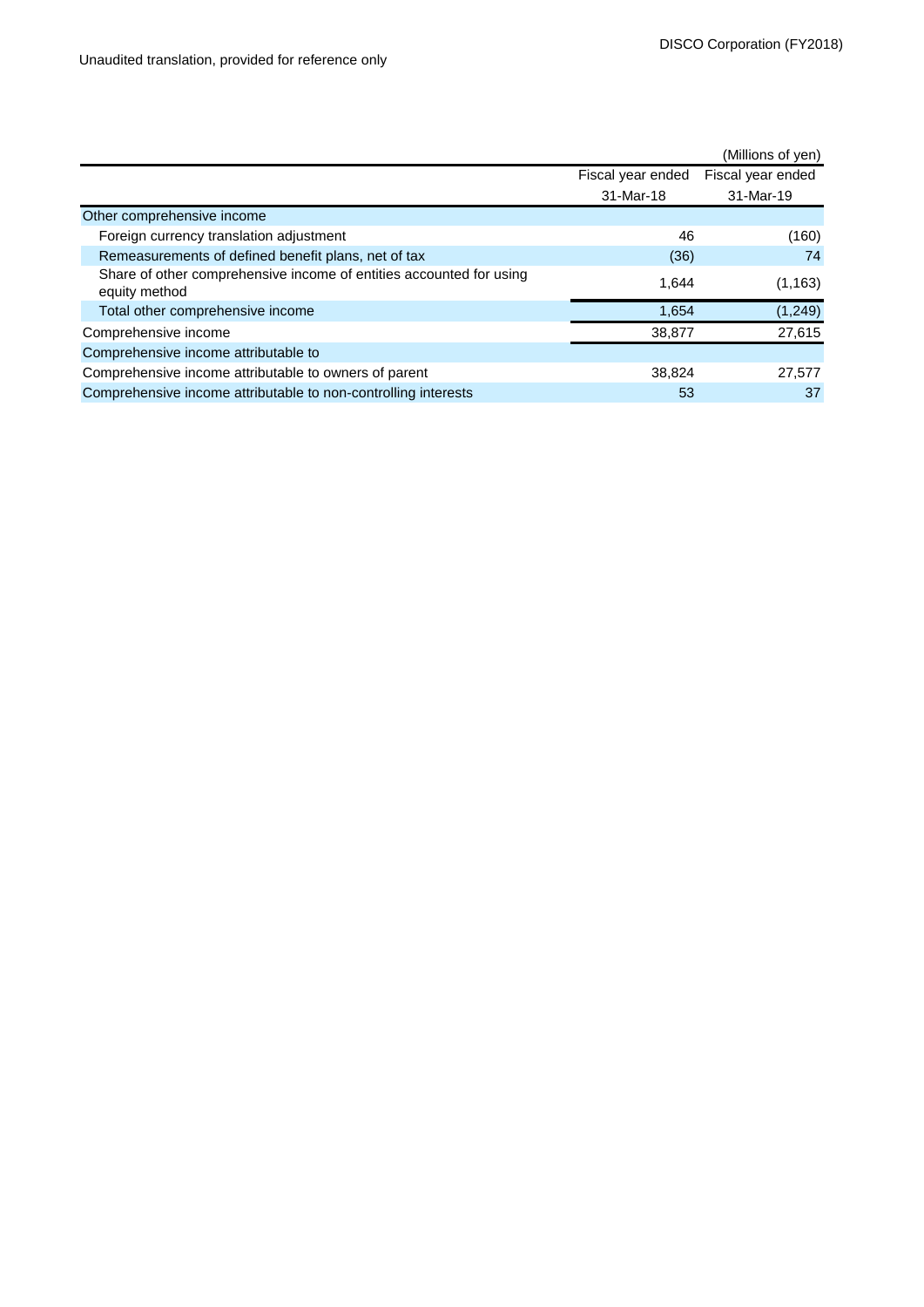|                                                                                      |                   | (Millions of yen) |
|--------------------------------------------------------------------------------------|-------------------|-------------------|
|                                                                                      | Fiscal year ended | Fiscal year ended |
|                                                                                      | 31-Mar-18         | 31-Mar-19         |
| Other comprehensive income                                                           |                   |                   |
| Foreign currency translation adjustment                                              | 46                | (160)             |
| Remeasurements of defined benefit plans, net of tax                                  | (36)              | 74                |
| Share of other comprehensive income of entities accounted for using<br>equity method | 1,644             | (1, 163)          |
| Total other comprehensive income                                                     | 1,654             | (1, 249)          |
| Comprehensive income                                                                 | 38,877            | 27,615            |
| Comprehensive income attributable to                                                 |                   |                   |
| Comprehensive income attributable to owners of parent                                | 38,824            | 27,577            |
| Comprehensive income attributable to non-controlling interests                       | 53                | 37                |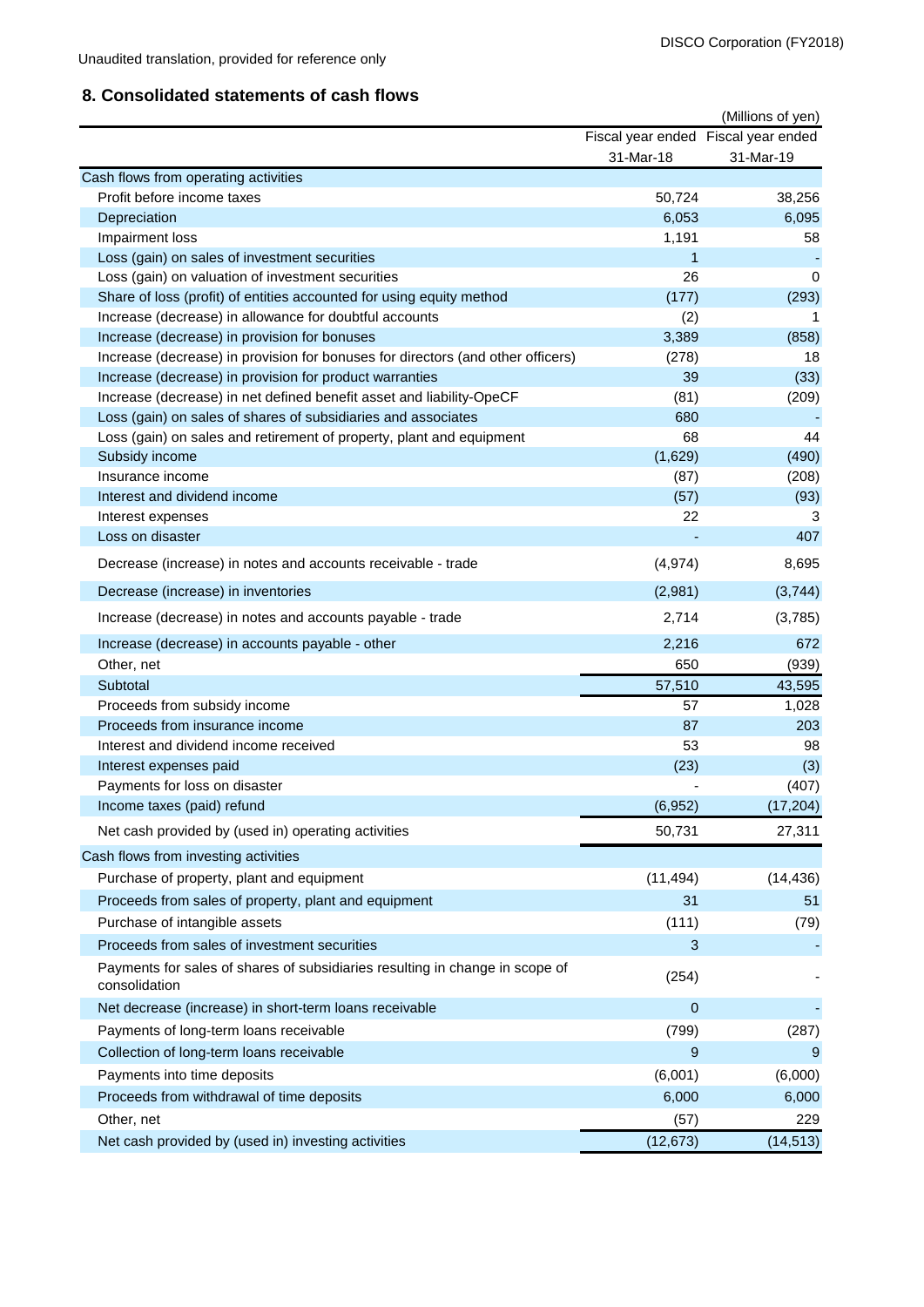## **8. Consolidated statements of cash flows**

|                                                                                                                                 |                | (Millions of yen)                   |
|---------------------------------------------------------------------------------------------------------------------------------|----------------|-------------------------------------|
|                                                                                                                                 |                | Fiscal year ended Fiscal year ended |
|                                                                                                                                 | 31-Mar-18      | 31-Mar-19                           |
| Cash flows from operating activities                                                                                            |                |                                     |
| Profit before income taxes                                                                                                      | 50,724         | 38,256                              |
| Depreciation                                                                                                                    | 6,053          | 6,095                               |
| Impairment loss                                                                                                                 | 1,191          | 58                                  |
| Loss (gain) on sales of investment securities                                                                                   | 1              |                                     |
| Loss (gain) on valuation of investment securities                                                                               | 26             | $\mathbf 0$                         |
| Share of loss (profit) of entities accounted for using equity method                                                            | (177)          | (293)                               |
| Increase (decrease) in allowance for doubtful accounts                                                                          | (2)            |                                     |
| Increase (decrease) in provision for bonuses<br>Increase (decrease) in provision for bonuses for directors (and other officers) | 3,389<br>(278) | (858)<br>18                         |
| Increase (decrease) in provision for product warranties                                                                         | 39             | (33)                                |
| Increase (decrease) in net defined benefit asset and liability-OpeCF                                                            | (81)           | (209)                               |
| Loss (gain) on sales of shares of subsidiaries and associates                                                                   | 680            |                                     |
| Loss (gain) on sales and retirement of property, plant and equipment                                                            | 68             | 44                                  |
| Subsidy income                                                                                                                  | (1,629)        | (490)                               |
| Insurance income                                                                                                                | (87)           | (208)                               |
| Interest and dividend income                                                                                                    | (57)           | (93)                                |
| Interest expenses                                                                                                               | 22             | 3                                   |
| Loss on disaster                                                                                                                |                | 407                                 |
| Decrease (increase) in notes and accounts receivable - trade                                                                    | (4, 974)       | 8,695                               |
| Decrease (increase) in inventories                                                                                              | (2,981)        | (3,744)                             |
| Increase (decrease) in notes and accounts payable - trade                                                                       | 2,714          | (3,785)                             |
| Increase (decrease) in accounts payable - other                                                                                 | 2,216          | 672                                 |
| Other, net                                                                                                                      | 650            | (939)                               |
| Subtotal                                                                                                                        | 57,510         | 43,595                              |
| Proceeds from subsidy income                                                                                                    | 57             | 1,028                               |
| Proceeds from insurance income                                                                                                  | 87             | 203                                 |
| Interest and dividend income received                                                                                           | 53             | 98                                  |
| Interest expenses paid                                                                                                          | (23)           | (3)                                 |
| Payments for loss on disaster                                                                                                   |                | (407)                               |
| Income taxes (paid) refund                                                                                                      | (6,952)        | (17, 204)                           |
| Net cash provided by (used in) operating activities                                                                             | 50,731         | 27,311                              |
| Cash flows from investing activities                                                                                            |                |                                     |
| Purchase of property, plant and equipment                                                                                       | (11, 494)      | (14, 436)                           |
| Proceeds from sales of property, plant and equipment                                                                            | 31             | 51                                  |
| Purchase of intangible assets                                                                                                   | (111)          | (79)                                |
| Proceeds from sales of investment securities                                                                                    | 3              |                                     |
| Payments for sales of shares of subsidiaries resulting in change in scope of<br>consolidation                                   | (254)          |                                     |
| Net decrease (increase) in short-term loans receivable                                                                          | $\mathbf 0$    |                                     |
| Payments of long-term loans receivable                                                                                          | (799)          | (287)                               |
| Collection of long-term loans receivable                                                                                        | 9              | 9                                   |
|                                                                                                                                 |                |                                     |
| Payments into time deposits                                                                                                     | (6,001)        | (6,000)                             |
| Proceeds from withdrawal of time deposits                                                                                       | 6,000          | 6,000                               |
| Other, net                                                                                                                      | (57)           | 229                                 |
| Net cash provided by (used in) investing activities                                                                             | (12, 673)      | (14, 513)                           |